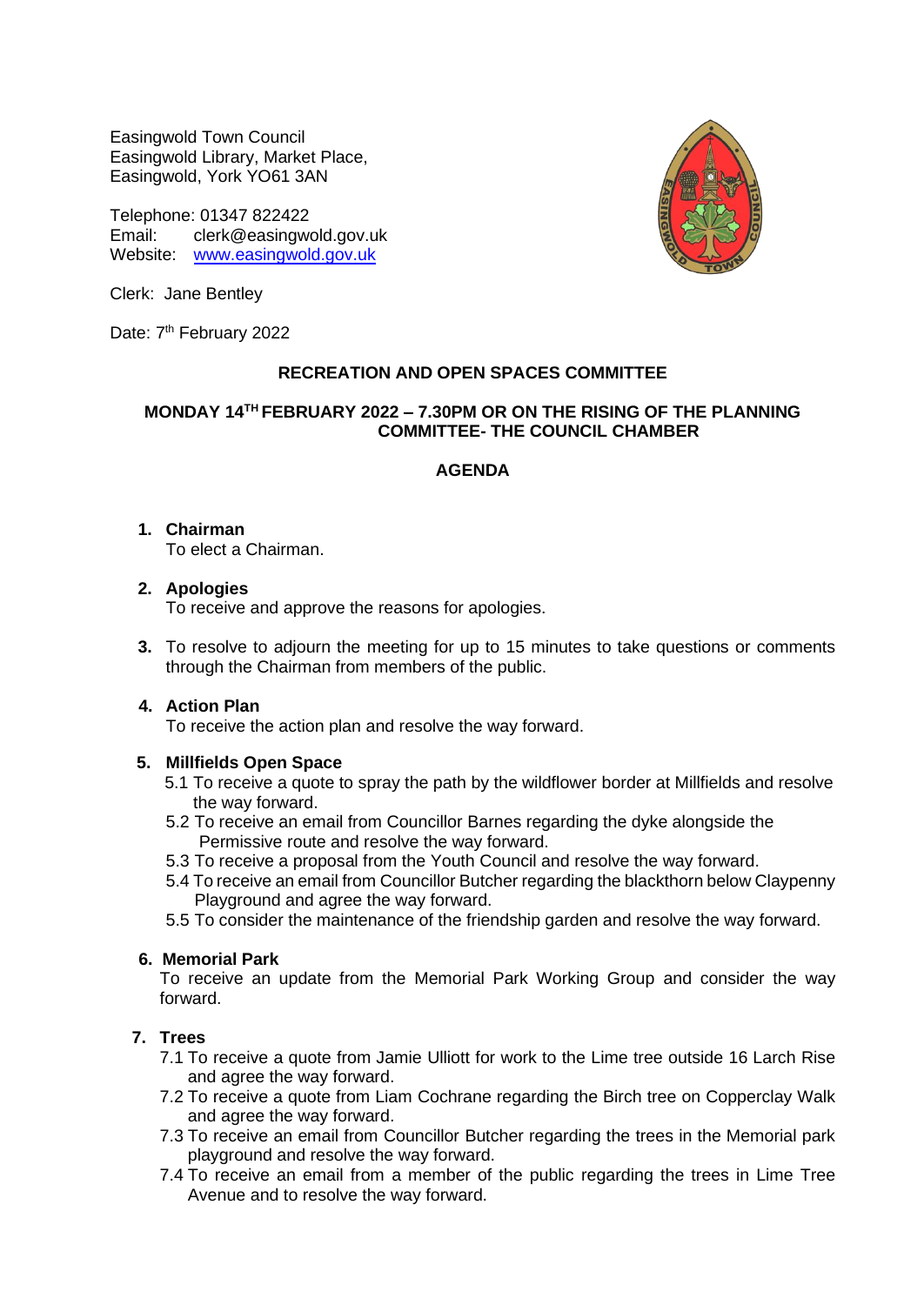Easingwold Town Council Easingwold Library, Market Place, Easingwold, York YO61 3AN

Telephone: 01347 822422 Email: clerk@easingwold.gov.uk Website: [www.easingwold.gov.uk](http://www.easingwold.gov.uk/)



Clerk: Jane Bentley

Date: 7<sup>th</sup> February 2022

## **RECREATION AND OPEN SPACES COMMITTEE**

## **MONDAY 14 TH FEBRUARY 2022 – 7.30PM OR ON THE RISING OF THE PLANNING COMMITTEE- THE COUNCIL CHAMBER**

## **AGENDA**

## **1. Chairman**

To elect a Chairman.

## **2. Apologies**

To receive and approve the reasons for apologies.

**3.** To resolve to adjourn the meeting for up to 15 minutes to take questions or comments through the Chairman from members of the public.

# **4. Action Plan**

To receive the action plan and resolve the way forward.

# **5. Millfields Open Space**

- 5.1 To receive a quote to spray the path by the wildflower border at Millfields and resolve the way forward.
- 5.2 To receive an email from Councillor Barnes regarding the dyke alongside the Permissive route and resolve the way forward.
- 5.3 To receive a proposal from the Youth Council and resolve the way forward.
- 5.4 To receive an email from Councillor Butcher regarding the blackthorn below Claypenny Playground and agree the way forward.
- 5.5 To consider the maintenance of the friendship garden and resolve the way forward.

## **6. Memorial Park**

To receive an update from the Memorial Park Working Group and consider the way forward.

# **7. Trees**

- 7.1 To receive a quote from Jamie Ulliott for work to the Lime tree outside 16 Larch Rise and agree the way forward.
- 7.2 To receive a quote from Liam Cochrane regarding the Birch tree on Copperclay Walk and agree the way forward.
- 7.3 To receive an email from Councillor Butcher regarding the trees in the Memorial park playground and resolve the way forward.
- 7.4 To receive an email from a member of the public regarding the trees in Lime Tree Avenue and to resolve the way forward.